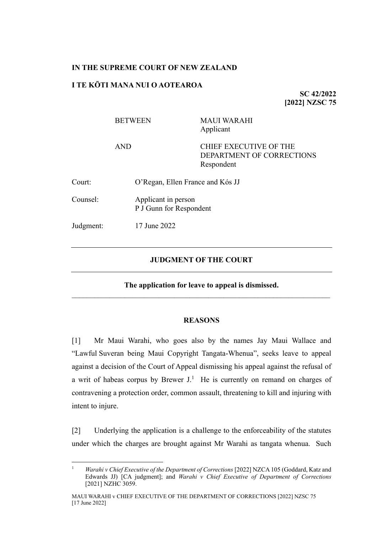### **IN THE SUPREME COURT OF NEW ZEALAND**

# **I TE KŌTI MANA NUI O AOTEAROA**

**SC 42/2022 [2022] NZSC 75**

|           | <b>BETWEEN</b>      | <b>MAUI WARAHI</b><br>Applicant                                          |  |
|-----------|---------------------|--------------------------------------------------------------------------|--|
|           | <b>AND</b>          | <b>CHIEF EXECUTIVE OF THE</b><br>DEPARTMENT OF CORRECTIONS<br>Respondent |  |
| Court:    |                     | O'Regan, Ellen France and Kós JJ                                         |  |
| Counsel:  | Applicant in person | P J Gunn for Respondent                                                  |  |
| Judgment: | 17 June 2022        |                                                                          |  |
|           |                     |                                                                          |  |

### **JUDGMENT OF THE COURT**

**The application for leave to appeal is dismissed.** \_\_\_\_\_\_\_\_\_\_\_\_\_\_\_\_\_\_\_\_\_\_\_\_\_\_\_\_\_\_\_\_\_\_\_\_\_\_\_\_\_\_\_\_\_\_\_\_\_\_\_\_\_\_\_\_\_\_\_\_\_\_\_\_\_\_\_\_

#### <span id="page-0-0"></span>**REASONS**

[1] Mr Maui Warahi, who goes also by the names Jay Maui Wallace and "Lawful Suveran being Maui Copyright Tangata-Whenua", seeks leave to appeal against a decision of the Court of Appeal dismissing his appeal against the refusal of a writ of habeas corpus by Brewer  $J<sup>1</sup>$ . He is currently on remand on charges of contravening a protection order, common assault, threatening to kill and injuring with intent to injure.

[2] Underlying the application is a challenge to the enforceability of the statutes under which the charges are brought against Mr Warahi as tangata whenua. Such

<sup>&</sup>lt;sup>1</sup> *Warahi v Chief Executive of the Department of Corrections* [2022] NZCA 105 (Goddard, Katz and Edwards JJ) [CA judgment]; and *Warahi v Chief Executive of Department of Corrections* [2021] NZHC 3059.